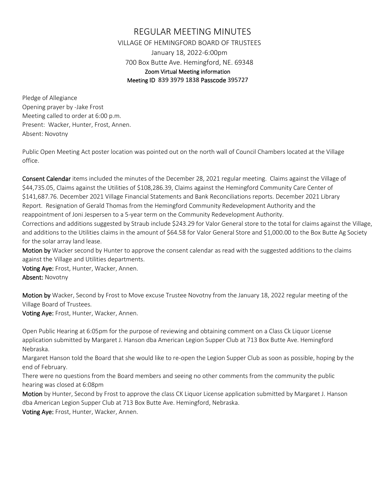## REGULAR MEETING MINUTES VILLAGE OF HEMINGFORD BOARD OF TRUSTEES January 18, 2022-6:00pm 700 Box Butte Ave. Hemingford, NE. 69348 Zoom Virtual Meeting information Meeting ID 839 3979 1838 Passcode 395727

Pledge of Allegiance Opening prayer by -Jake Frost Meeting called to order at 6:00 p.m. Present: Wacker, Hunter, Frost, Annen. Absent: Novotny

Public Open Meeting Act poster location was pointed out on the north wall of Council Chambers located at the Village office.

Consent Calendar items included the minutes of the December 28, 2021 regular meeting. Claims against the Village of \$44,735.05, Claims against the Utilities of \$108,286.39, Claims against the Hemingford Community Care Center of \$141,687.76. December 2021 Village Financial Statements and Bank Reconciliations reports. December 2021 Library Report. Resignation of Gerald Thomas from the Hemingford Community Redevelopment Authority and the reappointment of Joni Jespersen to a 5-year term on the Community Redevelopment Authority.

Corrections and additions suggested by Straub include \$243.29 for Valor General store to the total for claims against the Village, and additions to the Utilities claims in the amount of \$64.58 for Valor General Store and \$1,000.00 to the Box Butte Ag Society for the solar array land lease.

Motion by Wacker second by Hunter to approve the consent calendar as read with the suggested additions to the claims against the Village and Utilities departments.

Voting Aye: Frost, Hunter, Wacker, Annen. Absent: Novotny

Motion by Wacker, Second by Frost to Move excuse Trustee Novotny from the January 18, 2022 regular meeting of the Village Board of Trustees.

Voting Aye: Frost, Hunter, Wacker, Annen.

Open Public Hearing at 6:05pm for the purpose of reviewing and obtaining comment on a Class Ck Liquor License application submitted by Margaret J. Hanson dba American Legion Supper Club at 713 Box Butte Ave. Hemingford Nebraska.

Margaret Hanson told the Board that she would like to re-open the Legion Supper Club as soon as possible, hoping by the end of February.

There were no questions from the Board members and seeing no other comments from the community the public hearing was closed at 6:08pm

Motion by Hunter, Second by Frost to approve the class CK Liquor License application submitted by Margaret J. Hanson dba American Legion Supper Club at 713 Box Butte Ave. Hemingford, Nebraska.

Voting Aye: Frost, Hunter, Wacker, Annen.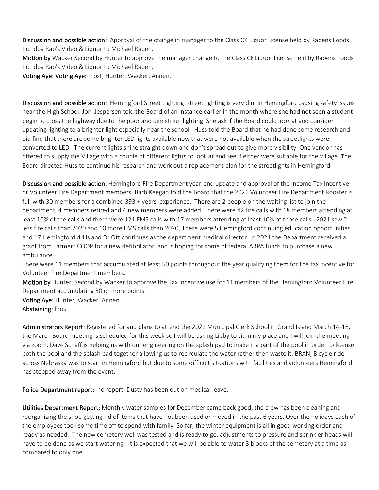Discussion and possible action: Approval of the change in manager to the Class CK Liquor License held by Rabens Foods Inc. dba Rap's Video & Liquor to Michael Raben.

Motion by Wacker Second by Hunter to approve the manager change to the Class Ck Liquor license held by Rabens Foods Inc. dba Rap's Video & Liquor to Michael Raben.

Voting Aye: Voting Aye: Frost, Hunter, Wacker, Annen.

Discussion and possible action: Hemingford Street Lighting: street lighting is very dim in Hemingford causing safety issues near the High School. Joni Jespersen told the Board of an instance earlier in the month where she had not seen a student begin to cross the highway due to the poor and dim street lighting. She ask if the Board could look at and consider updating lighting to a brighter light especially near the school. Huss told the Board that he had done some research and did find that there are some brighter LED lights available now that were not available when the streetlights were converted to LED. The current lights shine straight down and don't spread out to give more visibility. One vendor has offered to supply the Village with a couple of different lights to look at and see if either were suitable for the Village. The Board directed Huss to continue his research and work out a replacement plan for the streetlights in Hemingford.

Discussion and possible action: Hemingford Fire Department year-end update and approval of the Income Tax Incentive or Volunteer Fire Department members. Barb Keegan told the Board that the 2021 Volunteer Fire Department Rooster is full with 30 members for a combined 393 + years' experience. There are 2 people on the waiting list to join the department, 4 members retired and 4 new members were added. There were 42 fire calls with 18 members attending at least 10% of the calls and there were 121 EMS calls with 17 members attending at least 10% of those calls. 2021 saw 2 less fire calls than 2020 and 10 more EMS calls than 2020, There were 5 Hemingford continuing education opportunities and 17 Hemingford drills and Dr Ott continues as the department medical director. In 2021 the Department received a grant from Farmers COOP for a new defibrillator, and is hoping for some of federal ARPA funds to purchase a new ambulance.

There were 11 members that accumulated at least 50 points throughout the year qualifying them for the tax incentive for Volunteer Fire Department members.

Motion by Hunter, Second by Wacker to approve the Tax incentive use for 11 members of the Hemingford Volunteer Fire Department accumulating 50 or more points.

Voting Aye: Hunter, Wacker, Annen Abstaining: Frost

Administrators Report: Registered for and plans to attend the 2022 Municipal Clerk School in Grand Island March 14-18, the March Board meeting is scheduled for this week so I will be asking Libby to sit in my place and I will join the meeting via zoom. Dave Schaff is helping us with our engineering on the splash pad to make it a part of the pool in order to license both the pool and the splash pad together allowing us to recirculate the water rather then waste it. BRAN, Bicycle ride across Nebraska was to start in Hemingford but due to some difficult situations with facilities and volunteers Hemingford has stepped away from the event.

Police Department report: no report. Dusty has been out on medical leave.

Utilities Department Report: Monthly water samples for December came back good, the crew has been cleaning and reorganizing the shop getting rid of items that have not been used or moved in the past 6 years. Over the holidays each of the employees took some time off to spend with family. So far, the winter equipment is all in good working order and ready as needed. The new cemetery well was tested and is ready to go, adjustments to pressure and sprinkler heads will have to be done as we start watering. It is expected that we will be able to water 3 blocks of the cemetery at a time as compared to only one.